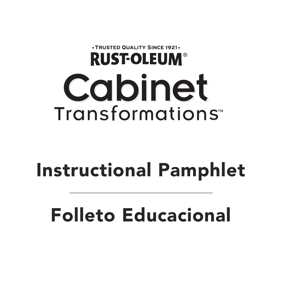# .TRUSTED QUALITY SINCE 1921. **RUST-OLEUM® Cabinet** Transformations<sup>\*\*</sup>

# **Instructional Pamphlet**

# **Folleto Educacional**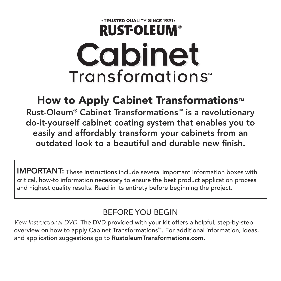## . TRUSTED QUALITY SINCE 1921. **RUST-OLEUM® Cabinet** Transformations<sup>\*\*</sup>

## **How to Apply Cabinet Transformations™**

**Rust-Oleum® Cabinet Transformations™ is a revolutionary do-it-yourself cabinet coating system that enables you to easily and affordably transform your cabinets from an outdated look to a beautiful and durable new finish.**

**IMPORTANT:** These instructions include several important information boxes with critical, how-to information necessary to ensure the best product application process and highest quality results. Read in its entirety before beginning the project.

#### BEFORE YOU BEGIN

*View Instructional DVD.* The DVD provided with your kit offers a helpful, step-by-step overview on how to apply Cabinet Transformations™. For additional information, ideas, and application suggestions go to **RustoleumTransformations.com.**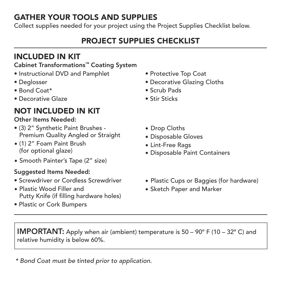#### **GATHER YOUR TOOLS AND SUPPLIES**

Collect supplies needed for your project using the Project Supplies Checklist below.

#### **PROJECT SUPPLIES CHECKLIST**

#### **INCLUDED IN KIT**

#### **Cabinet Transformations™ Coating System**

- Instructional DVD and Pamphlet
- Deglosser
- Bond Coat\*
- Decorative Glaze

#### **NOT INCLUDED IN KIT**

#### **Other Items Needed:**

- (3) 2" Synthetic Paint Brushes Premium Quality Angled or Straight
- (1) 2" Foam Paint Brush (for optional glaze)
- Smooth Painter's Tape (2" size)

#### **Suggested Items Needed:**

- Screwdriver or Cordless Screwdriver
- Plastic Wood Filler and Putty Knife (if filling hardware holes)
- Plastic or Cork Bumpers
- Protective Top Coat
- Decorative Glazing Cloths
- Scrub Pads
- Stir Sticks
- Drop Cloths
- Disposable Gloves
- Lint-Free Rags
- Disposable Paint Containers
- Plastic Cups or Baggies (for hardware)
- Sketch Paper and Marker

**IMPORTANT:** Apply when air (ambient) temperature is 50 – 90° F (10 – 32° C) and relative humidity is below 60%.

*\* Bond Coat must be tinted prior to application.*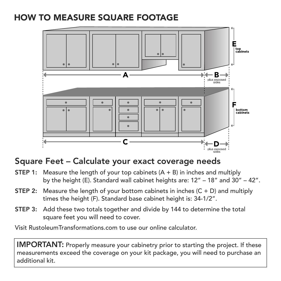## **HOW TO MEASURE SQUARE FOOTAGE**



#### **Square Feet – Calculate your exact coverage needs**

- **STEP 1:** Measure the length of your top cabinets (A + B) in inches and multiply by the height (E). Standard wall cabinet heights are: 12" – 18" and 30" – 42".
- **STEP 2:** Measure the length of your bottom cabinets in inches (C + D) and multiply times the height (F). Standard base cabinet height is: 34-1/2".
- **STEP 3:** Add these two totals together and divide by 144 to determine the total square feet you will need to cover.

Visit RustoleumTransformations.com to use our online calculator.

**IMPORTANT:** Properly measure your cabinetry prior to starting the project. If these measurements exceed the coverage on your kit package, you will need to purchase an additional kit.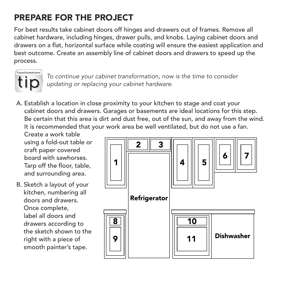## **PREPARE FOR THE PROJECT**

For best results take cabinet doors off hinges and drawers out of frames. Remove all cabinet hardware, including hinges, drawer pulls, and knobs. Laying cabinet doors and drawers on a flat, horizontal surface while coating will ensure the easiest application and best outcome. Create an assembly line of cabinet doors and drawers to speed up the process.



*To continue your cabinet transformation, now is the time to consider updating or replacing your cabinet hardware.*

A. Establish a location in close proximity to your kitchen to stage and coat your cabinet doors and drawers. Garages or basements are ideal locations for this step. Be certain that this area is dirt and dust free, out of the sun, and away from the wind. It is recommended that your work area be well ventilated, but do not use a fan.

Create a work table using a fold-out table or craft paper covered board with sawhorses. Tarp off the floor, table, and surrounding area.

B. Sketch a layout of your kitchen, numbering all doors and drawers. Once complete, label all doors and drawers according to the sketch shown to the right with a piece of smooth painter's tape.

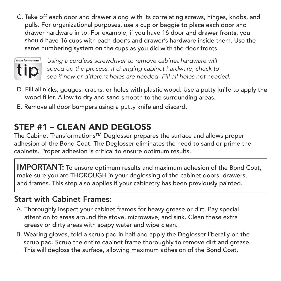C. Take off each door and drawer along with its correlating screws, hinges, knobs, and pulls. For organizational purposes, use <sup>a</sup> cup or baggie to place each door and drawer hardware in to. For example, if you have <sup>16</sup> door and drawer fronts, you should have <sup>16</sup> cups with each door's and drawer's hardware inside them. Use the same numbering system on the cups as you did with the door fronts.



*Using a cordless screwdriver to remove cabinet hardware will speed up the process. If changing cabinet hardware, check to see if new or different holes are needed. Fill all holes not needed.*

- D. Fill all nicks, gouges, cracks, or holes with plastic wood. Use <sup>a</sup> putty knife to apply the wood filler. Allow to dry and sand smooth to the surrounding areas.
- E. Remove all door bumpers using <sup>a</sup> putty knife and discard.

## **STEP #1 – CLEAN AND DEGLOSS**

The Cabinet Transformations™ Deglosser prepares the surface and allows proper adhesion of the Bond Coat. The Deglosser eliminates the need to sand or prime the cabinets. Proper adhesion is critical to ensure optimum results.

**IMPORTANT:** To ensure optimum results and maximum adhesion of the Bond Coat, make sure you are THOROUGH in your deglossing of the cabinet doors, drawers, and frames. This step also applies if your cabinetry has been previously painted.

#### **Start with Cabinet Frames:**

- A. Thoroughly inspect your cabinet frames for heavy grease or dirt. Pay special attention to areas around the stove, microwave, and sink. Clean these extra greasy or dirty areas with soapy water and wipe clean.
- B. Wearing gloves, fold a scrub pad in half and apply the Deglosser liberally on the scrub pad. Scrub the entire cabinet frame thoroughly to remove dirt and grease. This will degloss the surface, allowing maximum adhesion of the Bond Coat.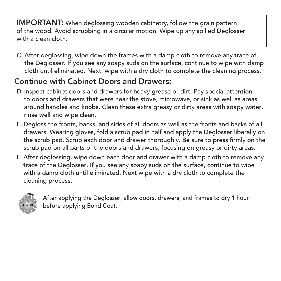**IMPORTANT:** When deglossing wooden cabinetry, follow the grain pattern of the wood. Avoid scrubbing in a circular motion. Wipe up any spilled Deglosser with a clean cloth.

C. After deglossing, wipe down the frames with a damp cloth to remove any trace of the Deglosser. If you see any soapy suds on the surface, continue to wipe with damp cloth until eliminated. Next, wipe with a dry cloth to complete the cleaning process.

## **Continue with Cabinet Doors and Drawers:**

- D. Inspect cabinet doors and drawers for heavy grease or dirt. Pay special attention to doors and drawers that were near the stove, microwave, or sink as well as areas around handles and knobs. Clean these extra greasy or dirty areas with soapy water, rinse well and wipe clean.
- E. Degloss the fronts, backs, and sides of all doors as well as the fronts and backs of all drawers. Wearing gloves, fold a scrub pad in half and apply the Deglosser liberally on the scrub pad. Scrub each door and drawer thoroughly. Be sure to press firmly on the scrub pad on all parts of the doors and drawers, focusing on greasy or dirty areas.
- F. After deglossing, wipe down each door and drawer with a damp cloth to remove any trace of the Deglosser. If you see any soapy suds on the surface, continue to wipe with a damp cloth until eliminated. Next wipe with a dry cloth to complete the cleaning process.



After applying the Deglosser, allow doors, drawers, and frames to dry 1 hour before applying Bond Coat.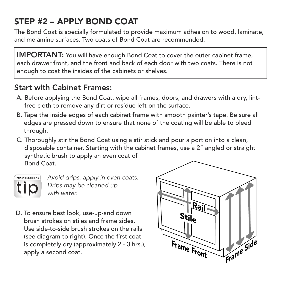## **STEP #2 – APPLY BOND COAT**

The Bond Coat is specially formulated to provide maximum adhesion to wood, laminate, and melamine surfaces. Two coats of Bond Coat are recommended.

**IMPORTANT:** You will have enough Bond Coat to cover the outer cabinet frame, each drawer front, and the front and back of each door with two coats. There is not enough to coat the insides of the cabinets or shelves.

#### **Start with Cabinet Frames:**

- A. Before applying the Bond Coat, wipe all frames, doors, and drawers with a dry, lintfree cloth to remove any dirt or residue left on the surface.
- B. Tape the inside edges of each cabinet frame with smooth painter's tape. Be sure all edges are pressed down to ensure that none of the coating will be able to bleed through.
- C. Thoroughly stir the Bond Coat using a stir stick and pour a portion into a clean, disposable container. Starting with the cabinet frames, use a 2" angled or straight synthetic brush to apply an even coat of Bond Coat.



*Avoid drips, apply in even coats. Drips may be cleaned up with water.*

D. To ensure best look, use-up-and down brush strokes on stiles and frame sides. Use side-to-side brush strokes on the rails (see diagram to right). Once the first coat is completely dry (approximately 2 - 3 hrs.), apply a second coat.

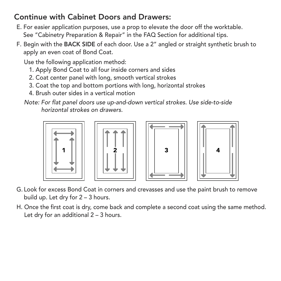#### **Continue with Cabinet Doors and Drawers:**

- E. For easier application purposes, use a prop to elevate the door off the worktable. See "Cabinetry Preparation & Repair" in the FAQ Section for additional tips.
- F. Begin with the **BACK SIDE** of each door. Use a 2" angled or straight synthetic brush to apply an even coat of Bond Coat.

Use the following application method:

- 1. Apply Bond Coat to all four inside corners and sides
- 2. Coat center panel with long, smooth vertical strokes
- 3. Coat the top and bottom portions with long, horizontal strokes
- 4. Brush outer sides in a vertical motion
- *Note: For flat panel doors use up-and-down vertical strokes. Use side-to-side horizontal strokes on drawers.*









- G. Look for excess Bond Coat in corners and crevasses and use the paint brush to remove build up. Let dry for 2 – 3 hours.
- H. Once the first coat is dry, come back and complete a second coat using the same method. Let dry for an additional 2 – 3 hours.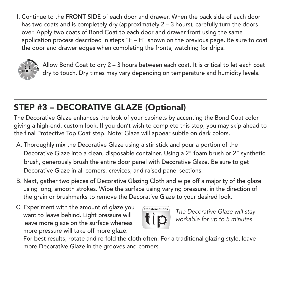I. Continue to the **FRONT SIDE** of each door and drawer. When the back side of each door has two coats and is completely dry (approximately 2 – 3 hours), carefully turn the doors over. Apply two coats of Bond Coat to each door and drawer front using the same application process described in steps "F – H" shown on the previous page. Be sure to coat the door and drawer edges when completing the fronts, watching for drips.



Allow Bond Coat to dry 2 – 3 hours between each coat. It is critical to let each coat dry to touch. Dry times may vary depending on temperature and humidity levels.

## **STEP #3 – DECORATIVE GLAZE (Optional)**

The Decorative Glaze enhances the look of your cabinets by accenting the Bond Coat color giving a high-end, custom look. If you don't wish to complete this step, you may skip ahead to the final Protective Top Coat step. Note: Glaze will appear subtle on dark colors.

- A. Thoroughly mix the Decorative Glaze using a stir stick and pour a portion of the Decorative Glaze into a clean, disposable container. Using a 2" foam brush or 2" synthetic brush, generously brush the entire door panel with Decorative Glaze. Be sure to get Decorative Glaze in all corners, crevices, and raised panel sections.
- B. Next, gather two pieces of Decorative Glazing Cloth and wipe off a majority of the glaze using long, smooth strokes. Wipe the surface using varying pressure, in the direction of the grain or brushmarks to remove the Decorative Glaze to your desired look.
- C. Experiment with the amount of glaze you want to leave behind. Light pressure will leave more glaze on the surface whereas more pressure will take off more glaze.



*The Decorative Glaze will stay workable for up to 5 minutes.*

For best results, rotate and re-fold the cloth often. For a traditional glazing style, leave more Decorative Glaze in the grooves and corners.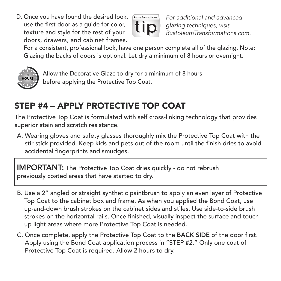D. Once you have found the desired look, use the first door as a guide for color, texture and style for the rest of your doors, drawers, and cabinet frames.



*For additional and advanced glazing techniques, visit RustoleumTransformations.com.*

For a consistent, professional look, have one person complete all of the glazing. Note: Glazing the backs of doors is optional. Let dry a minimum of 8 hours or overnight.



Allow the Decorative Glaze to dry for a minimum of 8 hours before applying the Protective Top Coat.

## **STEP #4 – APPLY PROTECTIVE TOP COAT**

The Protective Top Coat is formulated with self cross-linking technology that provides superior stain and scratch resistance.

A. Wearing gloves and safety glasses thoroughly mix the Protective Top Coat with the stir stick provided. Keep kids and pets out of the room until the finish dries to avoid accidental fingerprints and smudges.

**IMPORTANT:** The Protective Top Coat dries quickly - do not rebrush previously coated areas that have started to dry.

- B. Use a 2" angled or straight synthetic paintbrush to apply an even layer of Protective Top Coat to the cabinet box and frame. As when you applied the Bond Coat, use up-and-down brush strokes on the cabinet sides and stiles. Use side-to-side brush strokes on the horizontal rails. Once finished, visually inspect the surface and touch up light areas where more Protective Top Coat is needed.
- C. Once complete, apply the Protective Top Coat to the **BACK SIDE** of the door first. Apply using the Bond Coat application process in "STEP #2." Only one coat of Protective Top Coat is required. Allow 2 hours to dry.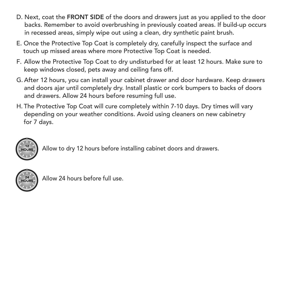- D. Next, coat the **FRONT SIDE** of the doors and drawers just as you applied to the door backs. Remember to avoid overbrushing in previously coated areas. If build-up occurs in recessed areas, simply wipe out using a clean, dry synthetic paint brush.
- E. Once the Protective Top Coat is completely dry, carefully inspect the surface and touch up missed areas where more Protective Top Coat is needed.
- F. Allow the Protective Top Coat to dry undisturbed for at least 12 hours. Make sure to keep windows closed, pets away and ceiling fans off.
- G. After 12 hours, you can install your cabinet drawer and door hardware. Keep drawers and doors ajar until completely dry. Install plastic or cork bumpers to backs of doors and drawers. Allow 24 hours before resuming full use.
- H. The Protective Top Coat will cure completely within 7-10 days. Dry times will vary depending on your weather conditions. Avoid using cleaners on new cabinetry for 7 days.



Allow to dry 12 hours before installing cabinet doors and drawers.



Allow 24 hours before full use.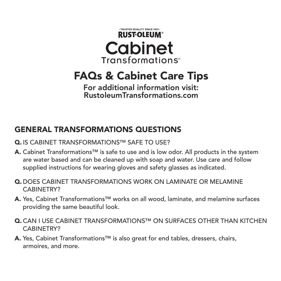

## **FAQs & Cabinet Care Tips**

**For additional information visit: RustoleumTransformations.com**

#### **GENERAL TRANSFORMATIONS QUESTIONS**

- **Q.** IS CABINET TRANSFORMATIONS™ SAFE TO USE?
- **A.** Cabinet Transformations™ is safe to use and is low odor. All products in the system are water based and can be cleaned up with soap and water. Use care and follow supplied instructions for wearing gloves and safety glasses as indicated.
- **Q.** DOES CABINET TRANSFORMATIONS WORK ON LAMINATE OR MELAMINE CABINETRY?
- **A.** Yes, Cabinet Transformations™ works on all wood, laminate, and melamine surfaces providing the same beautiful look.
- **Q.** CAN I USE CABINET TRANSFORMATIONS™ ON SURFACES OTHER THAN KITCHEN CABINETRY?
- **A.** Yes, Cabinet Transformations™ is also great for end tables, dressers, chairs, armoires, and more.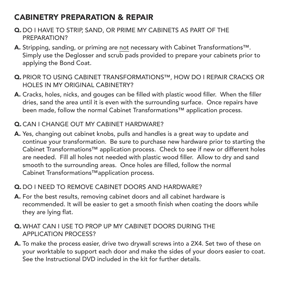#### **CABINETRY PREPARATION & REPAIR**

- **Q.** DO I HAVE TO STRIP, SAND, OR PRIME MY CABINETS AS PART OF THE PREPARATION?
- **A.** Stripping, sanding, or priming are not necessary with Cabinet Transformations™. Simply use the Deglosser and scrub pads provided to prepare your cabinets prior to applying the Bond Coat.
- **Q.** PRIOR TO USING CABINET TRANSFORMATIONS™, HOW DO I REPAIR CRACKS OR HOLES IN MY ORIGINAL CABINETRY?
- **A.** Cracks, holes, nicks, and gouges can be filled with plastic wood filler. When the filler dries, sand the area until it is even with the surrounding surface. Once repairs have been made, follow the normal Cabinet Transformations™ application process.
- **Q.** CAN I CHANGE OUT MY CABINET HARDWARE?
- **A.** Yes, changing out cabinet knobs, pulls and handles is a great way to update and continue your transformation. Be sure to purchase new hardware prior to starting the Cabinet Transformations™ application process. Check to see if new or different holes are needed. Fill all holes not needed with plastic wood filler. Allow to dry and sand smooth to the surrounding areas. Once holes are filled, follow the normal Cabinet Transformations™application process.

#### **Q.** DO I NEED TO REMOVE CABINET DOORS AND HARDWARE?

- **A.** For the best results, removing cabinet doors and all cabinet hardware is recommended. It will be easier to get a smooth finish when coating the doors while they are lying flat.
- **Q.** WHAT CAN I USE TO PROP UP MY CABINET DOORS DURING THE APPLICATION PROCESS?
- **A.** To make the process easier, drive two drywall screws into a 2X4. Set two of these on your worktable to support each door and make the sides of your doors easier to coat. See the Instructional DVD included in the kit for further details.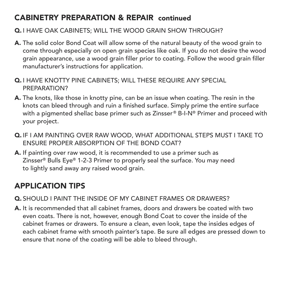#### **CABINETRY PREPARATION & REPAIR continued**

#### **Q.** I HAVE OAK CABINETS; WILL THE WOOD GRAIN SHOW THROUGH?

- **A.** The solid color Bond Coat will allow some of the natural beauty of the wood grain to come through especially on open grain species like oak. If you do not desire the wood grain appearance, use a wood grain filler prior to coating. Follow the wood grain filler manufacturer's instructions for application.
- **Q.** I HAVE KNOTTY PINE CABINETS; WILL THESE REQUIRE ANY SPECIAL PREPARATION?
- **A.** The knots, like those in knotty pine, can be an issue when coating. The resin in the knots can bleed through and ruin a finished surface. Simply prime the entire surface with a pigmented shellac base primer such as Zinsser® B-I-N® Primer and proceed with your project.
- **Q.** IF I AM PAINTING OVER RAW WOOD, WHAT ADDITIONAL STEPS MUST I TAKE TO ENSURE PROPER ABSORPTION OF THE BOND COAT?
- **A.** If painting over raw wood, it is recommended to use a primer such as Zinsser® Bulls Eye® 1-2-3 Primer to properly seal the surface. You may need to lightly sand away any raised wood grain.

#### **APPLICATION TIPS**

- **Q.** SHOULD I PAINT THE INSIDE OF MY CABINET FRAMES OR DRAWERS?
- **A.** It is recommended that all cabinet frames, doors and drawers be coated with two even coats. There is not, however, enough Bond Coat to cover the inside of the cabinet frames or drawers. To ensure a clean, even look, tape the insides edges of each cabinet frame with smooth painter's tape. Be sure all edges are pressed down to ensure that none of the coating will be able to bleed through.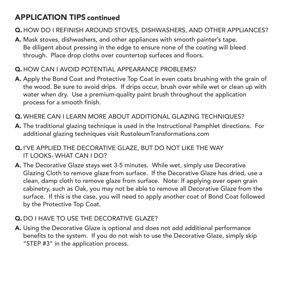#### **APPLICATION TIPS continued**

- **Q.** HOW DO I REFINISH AROUND STOVES, DISHWASHERS, AND OTHER APPLIANCES?
- **A.** Mask stoves, dishwashers, and other appliances with smooth painter's tape. Be diligent about pressing in the edge to ensure none of the coating will bleed through. Place drop cloths over countertop surfaces and floors.
- **Q.** HOW CAN I AVOID POTENTIAL APPEARANCE PROBLEMS?
- **A.** Apply the Bond Coat and Protective Top Coat in even coats brushing with the grain of the wood. Be sure to avoid drips. If drips occur, brush over while wet or clean up with water when dry. Use a premium-quality paint brush throughout the application process for a smooth finish.
- **Q.** WHERE CAN I LEARN MORE ABOUT ADDITIONAL GLAZING TECHNIQUES?
- **A.** The traditional glazing technique is used in the Instructional Pamphlet directions. For additional glazing techniques visit RustoleumTransformations.com
- **Q.** I'VE APPLIED THE DECORATIVE GLAZE, BUT DO NOT LIKE THE WAY IT LOOKS- WHAT CAN I DO?
- **A.** The Decorative Glaze stays wet 3-5 minutes. While wet, simply use Decorative Glazing Cloth to remove glaze from surface. If the Decorative Glaze has dried, use a clean, damp cloth to remove glaze from surface. Note: If applying over open grain cabinetry, such as Oak, you may not be able to remove all Decorative Glaze from the surface. If this is the case, you will need to apply another coat of Bond Coat followed by the Protective Top Coat.

#### **Q.** DO I HAVE TO USE THE DECORATIVE GLAZE?

**A.** Using the Decorative Glaze is optional and does not add additional performance benefits to the system. If you do not wish to use the Decorative Glaze, simply skip "STEP #3" in the application process.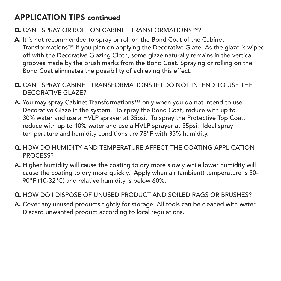#### **APPLICATION TIPS continued**

#### **Q.** CAN I SPRAY OR ROLL ON CABINET TRANSFORMATIONS™?

- **A.** It is not recommended to spray or roll on the Bond Coat of the Cabinet Transformations™ if you plan on applying the Decorative Glaze. As the glaze is wiped off with the Decorative Glazing Cloth, some glaze naturally remains in the vertical grooves made by the brush marks from the Bond Coat. Spraying or rolling on the Bond Coat eliminates the possibility of achieving this effect.
- **Q.** CAN I SPRAY CABINET TRANSFORMATIONS IF I DO NOT INTEND TO USE THE DECORATIVE GLAZE?
- **A.** You may spray Cabinet Transformations™ only when you do not intend to use Decorative Glaze in the system. To spray the Bond Coat, reduce with up to 30% water and use a HVLP sprayer at 35psi. To spray the Protective Top Coat, reduce with up to 10% water and use a HVLP sprayer at 35psi. Ideal spray temperature and humidity conditions are 78ºF with 35% humidity.
- **Q.** HOW DO HUMIDITY AND TEMPERATURE AFFECT THE COATING APPLICATION PROCESS?
- **A.** Higher humidity will cause the coating to dry more slowly while lower humidity will cause the coating to dry more quickly. Apply when air (ambient) temperature is 50- 90ºF (10-32ºC) and relative humidity is below 60%.
- **Q.** HOW DO I DISPOSE OF UNUSED PRODUCT AND SOILED RAGS OR BRUSHES?
- **A.** Cover any unused products tightly for storage. All tools can be cleaned with water. Discard unwanted product according to local regulations.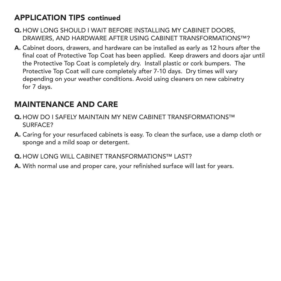#### **APPLICATION TIPS continued**

- **Q.** HOW LONG SHOULD I WAIT BEFORE INSTALLING MY CABINET DOORS, DRAWERS, AND HARDWARE AFTER USING CABINET TRANSFORMATIONS™?
- **A.** Cabinet doors, drawers, and hardware can be installed as early as 12 hours after the final coat of Protective Top Coat has been applied. Keep drawers and doors ajar until the Protective Top Coat is completely dry. Install plastic or cork bumpers. The Protective Top Coat will cure completely after 7-10 days. Dry times will vary depending on your weather conditions. Avoid using cleaners on new cabinetry for 7 days.

#### **MAINTENANCE AND CARE**

- **Q.** HOW DO I SAFELY MAINTAIN MY NEW CABINET TRANSFORMATIONS™ SURFACE?
- **A.** Caring for your resurfaced cabinets is easy. To clean the surface, use a damp cloth or sponge and a mild soap or detergent.
- **Q.** HOW LONG WILL CABINET TRANSFORMATIONS™ LAST?
- **A.** With normal use and proper care, your refinished surface will last for years.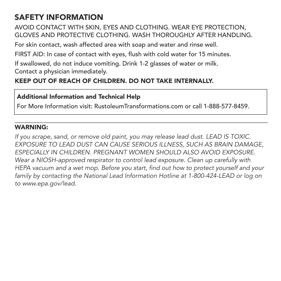#### **SAFETY INFORMATION**

AVOID CONTACT WITH SKIN, EYES AND CLOTHING. WEAR EYE PROTECTION, GLOVES AND PROTECTIVE CLOTHING. WASH THOROUGHLY AFTER HANDLING.

For skin contact, wash affected area with soap and water and rinse well.

FIRST AID: In case of contact with eyes, flush with cold water for 15 minutes.

If swallowed, do not induce vomiting. Drink 1-2 glasses of water or milk. Contact a physician immediately.

#### **KEEP OUT OF REACH OF CHILDREN. DO NOT TAKE INTERNALLY.**

#### **Additional Information and Technical Help**

For More Information visit: RustoleumTransformations.com or call 1-888-577-8459.

#### **WARNING:**

*If you scrape, sand, or remove old paint, you may release lead dust. LEAD IS TOXIC. EXPOSURE TO LEAD DUST CAN CAUSE SERIOUS ILLNESS, SUCH AS BRAIN DAMAGE, ESPECIALLY IN CHILDREN. PREGNANT WOMEN SHOULD ALSO AVOID EXPOSURE. Wear a NIOSH-approved respirator to control lead exposure. Clean up carefully with HEPA vacuum and a wet mop. Before you start, find out how to protect yourself and your family by contacting the National Lead Information Hotline at 1-800-424-LEAD or log on to www.epa.gov/lead.*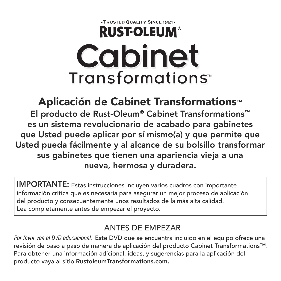## . TRUSTED QUALITY SINCE 1921-**RUST-OLEUM® Cabinet** Transformations<sup>®</sup>

**Aplicación de Cabinet Transformations™ El producto de Rust-Oleum® Cabinet Transformations™ es un sistema revolucionario de acabado para gabinetes que Usted puede aplicar por sí mismo(a) y que permite que Usted pueda fácilmente y al alcance de su bolsillo transformar sus gabinetes que tienen una apariencia vieja a una nueva, hermosa y duradera.**

**IMPORTANTE:** Estas instrucciones incluyen varios cuadros con importante información crítica que es necesaria para asegurar un mejor proceso de aplicación del producto y consecuentemente unos resultados de la más alta calidad. Lea completamente antes de empezar el proyecto.

#### ANTES DE EMPEZAR

*Por favor vea el DVD educacional.* Este DVD que se encuentra incluido en el equipo ofrece una revisión de paso a paso de manera de aplicación del producto Cabinet Transformations™. Para obtener una información adicional, ideas, y sugerencias para la aplicación del producto vaya al sitio **RustoleumTransformations.com.**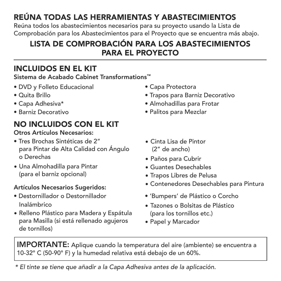## **REÚNA TODAS LAS HERRAMIENTAS Y ABASTECIMIENTOS**

Reúna todos los abastecimientos necesarios para su proyecto usando la Lista de Comprobación para los Abastecimientos para el Proyecto que se encuentra más abajo.

#### **LISTA DE COMPROBACIÓN PARA LOS ABASTECIMIENTOS PARA EL PROYECTO**

#### **INCLUIDOS EN EL KIT**

**Sistema de Acabado Cabinet Transformations™**

- DVD y Folleto Educacional
- Quita Brillo
- Capa Adhesiva\*
- Barniz Decorativo

#### **NO INCLUIDOS CON EL KIT**

#### **Otros Artículos Necesarios:**

- Tres Brochas Sintéticas de 2" para Pintar de Alta Calidad con Ángulo o Derechas
- Una Almohadilla para Pintar (para el barniz opcional)

#### **Artículos Necesarios Sugeridos:**

- Destornillador o Destornillador Inalámbrico
- Relleno Plástico para Madera y Espátula para Masilla (si está rellenado agujeros de tornillos)
- Capa Protectora
- Trapos para Barniz Decorativo
- Almohadillas para Frotar
- Palitos para Mezclar
- Cinta Lisa de Pintor (2" de ancho)
- Paños para Cubrir
- Guantes Desechables
- Trapos Libres de Pelusa
- Contenedores Desechables para Pintura
- 'Bumpers' de Plástico o Corcho
- Tazones o Bolsitas de Plástico (para los tornillos etc.)
- Papel y Marcador

**IMPORTANTE:** Aplique cuando la temperatura del aire (ambiente) se encuentra a 10-32° C (50-90° F) y la humedad relativa está debajo de un 60%.

*\* El tinte se tiene que añadir a la Capa Adhesiva antes de la aplicación.*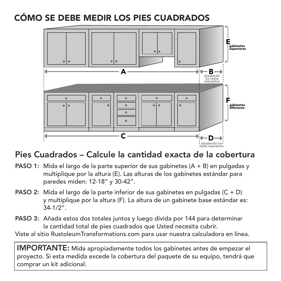## **CÓMO SE DEBE MEDIR LOS PIES CUADRADOS**



#### **Pies Cuadrados – Calcule la cantidad exacta de la cobertura**

- **PASO 1:** Mida el largo de la parte superior de sus gabinetes (A + B) en pulgadas y multiplique por la altura (E). Las alturas de los gabinetes estándar para paredes miden: 12-18" y 30-42".
- **PASO 2:** Mida el largo de la parte inferior de sus gabinetes en pulgadas (C + D) y multiplique por la altura (F). La altura de un gabinete base estándar es: 34-1/2".
- **PASO 3:** Añada estos dos totales juntos y luego divida por 144 para determinar la cantidad total de pies cuadrados que Usted necesita cubrir.

Viste al sitio RustoleumTransformations.com para usar nuestra calculadora en línea.

**IMPORTANTE:** Mida apropiadamente todos los gabinetes antes de empezar el proyecto. Si esta medida excede la cobertura del paquete de su equipo, tendrá que comprar un kit adicional.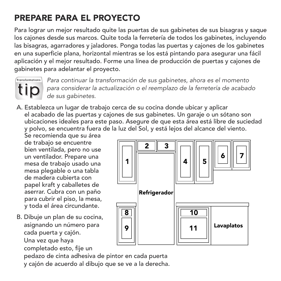## **PREPARE PARA EL PROYECTO**

Para lograr un mejor resultado quite las puertas de sus gabinetes de sus bisagras y saque los cajones desde sus marcos. Quite toda la ferretería de todos los gabinetes, incluyendo las bisagras, agarradores y jaladores. Ponga todas las puertas y cajones de los gabinetes en una superficie plana, horizontal mientras se los está pintando para asegurar una fácil aplicación y el mejor resultado. Forme una línea de producción de puertas y cajones de gabinetes para adelantar el proyecto.



*Para continuar la transformación de sus gabinetes, ahora es el momento para considerar la actualización o el reemplazo de la ferretería de acabado de sus gabinetes.*

A. Establezca un lugar de trabajo cerca de su cocina donde ubicar y aplicar el acabado de las puertas y cajones de sus gabinetes. Un garaje o un sótano son ubicaciones ideales para este paso. Asegure de que esta área está libre de suciedad y polvo, se encuentra fuera de la luz del Sol, y está lejos del alcance del viento.

Se recomienda que su área de trabajo se encuentre bien ventilada, pero no use un ventilador. Prepare una mesa de trabajo usado una mesa plegable o una tabla de madera cubierta con papel kraft y caballetes de aserrar. Cubra con un paño para cubrir el piso, la mesa, y toda el área circundante.

B. Dibuje un plan de su cocina, asignando un número para cada puerta y cajón. Una vez que haya completado esto, fije un



pedazo de cinta adhesiva de pintor en cada puerta

y cajón de acuerdo al dibujo que se ve a la derecha.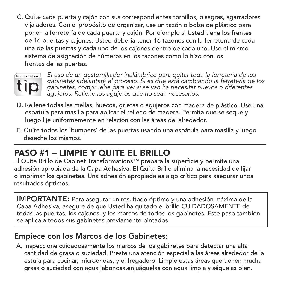C. Quite cada puerta <sup>y</sup> cajón con sus correspondientes tornillos, bisagras, agarradores <sup>y</sup> jaladores. Con el propósito de organizar, use un tazón <sup>o</sup> bolsa de plástico para poner la ferretería de cada puerta <sup>y</sup> cajón. Por ejemplo si Usted tiene los frentes de <sup>16</sup> puertas <sup>y</sup> cajones, Usted debería tener <sup>16</sup> tazones con la ferretería de cada una de las puertas <sup>y</sup> cada uno de los cajones dentro de cada uno. Use el mismo sistema de asignación de números en los tazones como lo hizo con los frentes de las puertas.



*El uso de un destornillador inalámbrico para quitar toda la ferretería de los gabinetes adelantará el proceso. Si es que está cambiando la ferretería de los gabinetes, compruebe para ver si se van ha necesitar nuevos o diferentes agujeros. Rellene los agujeros que no sean necesarios.*

- espátula para masilla para aplicar el relleno de madera. Permita que se seque y luego lije uniformemente en relación con las áreas del alrededor. D. Rellene todas las mellas, huecos, grietas <sup>o</sup> agujeros con madera de plástico. Use una
- E. Quite todos los 'bumpers' de las puertas usando una espátula para masilla y luego deseche los mismos.

## **PASO #1 – LIMPIE Y QUITE EL BRILLO**

El Quita Brillo de Cabinet Transformations™ prepara la superficie y permite una adhesión apropiada de la Capa Adhesiva. El Quita Brillo elimina la necesidad de lijar o imprimar los gabinetes. Una adhesión apropiada es algo crítico para asegurar unos resultados óptimos.

**IMPORTANTE:** Para asegurar un resultado óptimo y una adhesión máxima de la Capa Adhesiva, asegure de que Usted ha quitado el brillo CUIDADOSAMENTE de todas las puertas, los cajones, y los marcos de todos los gabinetes. Este paso también se aplica a todos sus gabinetes previamente pintados.

#### **Empiece con los Marcos de los Gabinetes:**

A. Inspeccione cuidadosamente los marcos de los gabinetes para detectar una alta cantidad de grasa o suciedad. Preste una atención especial a las áreas alrededor de la estufa para cocinar, microondas, y el fregadero. Limpie estas áreas que tienen mucha grasa o suciedad con agua jabonosa,enjuáguelas con agua limpia y séquelas bien.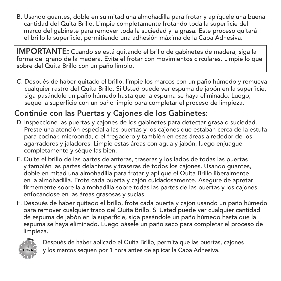B. Usando guantes, doble en su mitad una almohadilla para frotar y aplíquele una buena cantidad del Quita Brillo. Limpie completamente frotando toda la superficie del marco del gabinete para remover toda la suciedad y la grasa. Este proceso quitará el brillo la superficie, permitiendo una adhesión máxima de la Capa Adhesiva.

**IMPORTANTE:** Cuando se está quitando el brillo de gabinetes de madera, siga la forma del grano de la madera. Evite el frotar con movimientos circulares. Limpie lo que sobre del Quita Brillo con un paño limpio.

C. Después de haber quitado el brillo, limpie los marcos con un paño húmedo y remueva cualquier rastro del Quita Brillo. Si Usted puede ver espuma de jabón en la superficie, siga pasándole un paño húmedo hasta que la espuma se haya eliminado. Luego, seque la superficie con un paño limpio para completar el proceso de limpieza.

#### **Continúe con las Puertas y Cajones de los Gabinetes:**

- D. Inspeccione las puertas y cajones de los gabinetes para detectar grasa o suciedad. Preste una atención especial a las puertas y los cajones que estaban cerca de la estufa para cocinar, microonda, o el fregadero y también en esas áreas alrededor de los agarradores y jaladores. Limpie estas áreas con agua y jabón, luego enjuague completamente y séque las bien.
- E. Quite el brillo de las partes delanteras, traseras y los lados de todas las puertas y también las partes delanteras y traseras de todos los cajones. Usando guantes, doble en mitad una almohadilla para frotar y aplique el Quita Brillo liberalmente en la almohadilla. Frote cada puerta y cajón cuidadosamente. Asegure de apretar firmemente sobre la almohadilla sobre todas las partes de las puertas y los cajones, enfocándose en las áreas grasosas y sucias.
- F. Después de haber quitado el brillo, frote cada puerta y cajón usando un paño húmedo para remover cualquier trazo del Quita Brillo. Si Usted puede ver cualquier cantidad de espuma de jabón en la superficie, siga pasándole un paño húmedo hasta que la espuma se haya eliminado. Luego pásele un paño seco para completar el proceso de limpieza.



Después de haber aplicado el Quita Brillo, permita que las puertas, cajones y los marcos sequen por 1 hora antes de aplicar la Capa Adhesiva.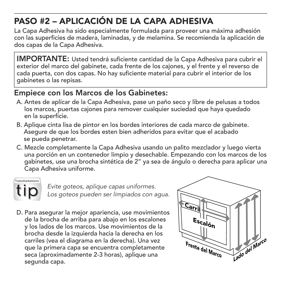## **PASO #2 – APLICACIÓN DE LA CAPA ADHESIVA**

La Capa Adhesiva ha sido especialmente formulada para proveer una máxima adhesión con las superficies de madera, laminadas, y de melamina. Se recomienda la aplicación de dos capas de la Capa Adhesiva.

**IMPORTANTE:** Usted tendrá suficiente cantidad de la Capa Adhesiva para cubrir el exterior del marco del gabinete, cada frente de los cajones, y el frente y el reverso de cada puerta, con dos capas. No hay suficiente material para cubrir el interior de los gabinetes o las repisas.

#### **Empiece con los Marcos de los Gabinetes:**

- A. Antes de aplícar de la Capa Adhesiva, pase un paño seco y libre de pelusas a todos los marcos, puertas cajones para remover cualquier suciedad que haya quedado en la superficie.
- B. Aplique cinta lisa de pintor en los bordes interiores de cada marco de gabinete. Asegure de que los bordes esten bien adheridos para evitar que el acabado se pueda penetrar.
- C. Mezcle completamente la Capa Adhesiva usando un palito mezclador y luego vierta una porción en un contenedor limpio y desechable. Empezando con los marcos de los gabinetes, use una brocha sintética de 2" ya sea de ángulo o derecha para aplicar una Capa Adhesiva uniforme.

ransformations

*Evite goteos, aplique capas uniformes. Los goteos pueden ser limpiados con agua.*

D. Para asegurar la mejor apariencia, use movimientos de la brocha de arriba para abajo en los escalones y los lados de los marcos. Use movimientos de la brocha desde la izquierda hacia la derecha en los carriles (vea el diagrama en la derecha). Una vez que la primera capa se encuentra completamente seca (aproximadamente 2-3 horas), aplique una seca (aproximadamente 2-3 horas), aplique una<br>segunda capa.

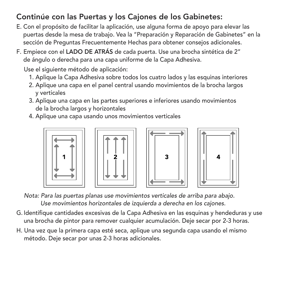#### **Continúe con las Puertas y los Cajones de los Gabinetes:**

- E. Con el propósito de facilitar la aplicación, use alguna forma de apoyo para elevar las puertas desde la mesa de trabajo. Vea la "Preparación y Reparación de Gabinetes" en la sección de Preguntas Frecuentemente Hechas para obtener consejos adicionales.
- F. Empiece con el **LADO DE ATRÁS** de cada puerta. Use una brocha sintética de 2" de ángulo o derecha para una capa uniforme de la Capa Adhesiva.

Use el siguiente método de aplicación:

- 1. Aplique la Capa Adhesiva sobre todos los cuatro lados y las esquinas interiores
- 2. Aplique una capa en el panel central usando movimientos de la brocha largos y verticales
- 3. Aplique una capa en las partes superiores e inferiores usando movimientos de la brocha largos y horizontales
- 4. Aplique una capa usando unos movimientos verticales









*Nota: Para las puertas planas use movimientos verticales de arriba para abajo. Use movimientos horizontales de izquierda a derecha en los cajones.*

- G. Identifique cantidades excesivas de la Capa Adhesiva en las esquinas y hendeduras y use una brocha de pintor para remover cualquier acumulación. Deje secar por 2-3 horas.
- H. Una vez que la primera capa esté seca, aplique una segunda capa usando el mismo método. Deje secar por unas 2-3 horas adicionales.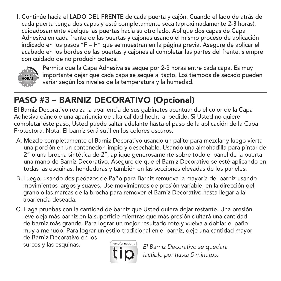I. Continúe hacia el **LADO DEL FRENTE** de cada puerta y cajón. Cuando el lado de atrás de cada puerta tenga dos capas y esté completamente seca (aproximadamente 2-3 horas), cuidadosamente vuelque las puertas hacia su otro lado. Aplique dos capas de Capa Adhesiva en cada frente de las puertas y cajones usando el mismo proceso de aplicación indicado en los pasos "F – H" que se muestran en la página previa. Asegure de aplicar el acabado en los bordes de las puertas y cajones al completar las partes del frente, siempre con cuidado de no producir goteos.



Permita que la Capa Adhesiva se seque por 2-3 horas entre cada capa. Es muy importante dejar que cada capa se seque al tacto. Los tiempos de secado pueden variar según los niveles de la temperatura y la humedad.

## **PASO #3 – BARNIZ DECORATIVO (Opcional)**

El Barniz Decorativo realza la apariencia de sus gabinetes acentuando el color de la Capa Adhesiva dándole una apariencia de alta calidad hecha al pedido. Si Usted no quiere completar este paso, Usted puede saltar adelante hasta el paso de la aplicación de la Capa Protectora. Nota: El barniz será sutil en los colores oscuros.

- A. Mezcle completamente el Barniz Decorativo usando un palito para mezclar y luego vierta una porción en un contenedor limpio y desechable. Usando una almohadilla para pintar de 2" o una brocha sintética de 2", aplique generosamente sobre todo el panel de la puerta una mano de Barniz Decorativo. Asegure de que el Barniz Decorativo se esté aplicando en todas las esquinas, hendeduras y también en las secciones elevadas de los paneles.
- B. Luego, usando dos pedazos de Paño para Barniz remueva la mayoría del barniz usando movimientos largos y suaves. Use movimientos de presión variable, en la dirección del grano o las marcas de la brocha para remover el Barniz Decorativo hasta llegar a la apariencia deseada.
- C. Haga pruebas con la cantidad de barniz que Usted quiera dejar restante. Una presión leve deja más barniz en la superficie mientras que más presión quitará una cantidad de barniz más grande. Para lograr un mejor resultado rote y vuelva a doblar el paño muy a menudo. Para lograr un estilo tradicional en el barniz, deje una cantidad mayor de Barniz Decorativo en los surcos y las esquinas. *El Barniz Decorativo se quedará*



*factible por hasta 5 minutos.*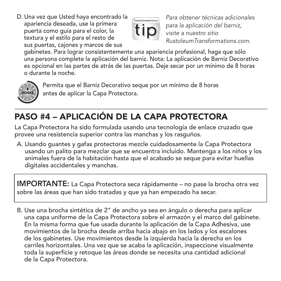D. Una vez que Usted haya encontrado la apariencia deseada, use la primera puerta como guía para el color, la textura y el estilo para el resto de sus puertas, cajones y marcos de sus



*Para obtener técnicas adicionales para la aplicación del barniz, visite a nuestro sitio RustoleumTransformations.com.*

gabinetes. Para lograr consistentemente una apariencia profesional, haga que sólo una persona complete la aplicación del barniz. Nota: La aplicación de Barniz Decorativo es opcional en las partes de atrás de las puertas. Deje secar por un mínimo de 8 horas o durante la noche.



Permita que el Barniz Decorativo seque por un mínimo de 8 horas antes de aplicar la Capa Protectora.

## **PASO #4 – APLICACIÓN DE LA CAPA PROTECTORA**

La Capa Protectora ha sido formulada usando una tecnología de enlace cruzado que provee una resistencia superior contra las manchas y los rasguños.

A. Usando guantes y gafas protectoras mezcle cuidadosamente la Capa Protectora usando un palito para mezclar que se encuentra incluido. Mantenga a los niños y los animales fuera de la habitación hasta que el acabado se seque para evitar huellas digitales accidentales y manchas.

**IMPORTANTE:** La Capa Protectora seca rápidamente – no pase la brocha otra vez sobre las áreas que han sido tratadas y que ya han empezado ha secar.

B. Use una brocha sintética de 2" de ancho ya sea en ángulo o derecha para aplicar una capa uniforme de la Capa Protectora sobre el armazón y el marco del gabinete. En la misma forma que fue usada durante la aplicación de la Capa Adhesiva, use movimientos de la brocha desde arriba hacia abajo en los lados y los escalones de los gabinetes. Use movimientos desde la izquierda hacia la derecha en los carriles horizontales. Una vez que se acaba la aplicación, inspeccione visualmente toda la superficie y retoque las áreas donde se necesita una cantidad adicional de la Capa Protectora.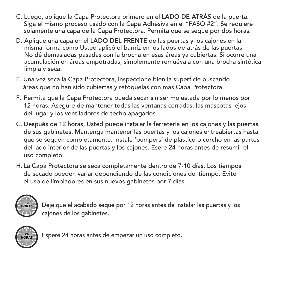- C. Luego, aplique la Capa Protectora primero en el **LADO DE ATRÁS** de la puerta. Siga el mismo proceso usado con la Capa Adhesiva en el "PASO #2". Se requiere solamente una capa de la Capa Protectora. Permita que se seque por dos horas.
- D. Aplique una capa en el **LADO DEL FRENTE** de las puertas y los cajones en la misma forma como Usted aplicó el barniz en los lados de atrás de las puertas. No dé demasiadas pasadas con la brocha en esas áreas ya cubiertas. Si ocurre una acumulación en áreas empotradas, simplemente remuévala con una brocha sintética limpia y seca.
- E. Una vez seca la Capa Protectora, inspeccione bien la superficie buscando áreas que no han sido cubiertas y retóquelas con mas Capa Protectora.
- F. Permita que la Capa Protectora pueda secar sin ser molestada por lo menos por 12 horas. Asegure de mantener todas las ventanas cerradas, las mascotas lejos del lugar y los ventiladores de techo apagados.
- G. Después de 12 horas, Usted puede instalar la ferretería en los cajones y las puertas de sus gabinetes. Mantenga mantener las puertas y los cajones entreabiertas hasta que se sequen completamente. Instale 'bumpers' de plástico o corcho en las partes del lado interior de las puertas y los cajones. Esere 24 horas antes de resumir el uso completo.
- H. La Capa Protectora se seca completamente dentro de 7-10 días. Los tiempos de secado pueden variar dependiendo de las condiciones del tiempo. Evite el uso de limpiadores en sus nuevos gabinetes por 7 días.



Deje que el acabado seque por 12 horas antes de instalar las puertas y los cajones de los gabinetes.



Espere 24 horas antes de empezar un uso completo.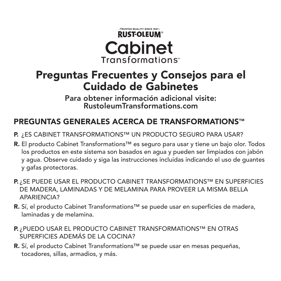#### TRUSTED OUALITY SINCE 1921 **RUST-OLEUM® Cabinet** Transformations<sup>®</sup>

## **Preguntas Frecuentes y Consejos para el Cuidado de Gabinetes**

**Para obtener información adicional visite: RustoleumTransformations.com**

#### **PREGUNTAS GENERALES ACERCA DE TRANSFORMATIONS™**

- **P.** ¿ES CABINET TRANSFORMATIONS™ UN PRODUCTO SEGURO PARA USAR?
- **R.** El producto Cabinet Transformations™ es seguro para usar y tiene un bajo olor. Todos los productos en este sistema son basados en agua y pueden ser limpiados con jabón y agua. Observe cuidado y siga las instrucciones incluidas indicando el uso de guantes y gafas protectoras.
- **P.** ¿SE PUEDE USAR EL PRODUCTO CABINET TRANSFORMATIONS™ EN SUPERFICIES DE MADERA, LAMINADAS Y DE MELAMINA PARA PROVEER LA MISMA BELLA APARIENCIA?
- **R.** Sí, el producto Cabinet Transformations™ se puede usar en superficies de madera, laminadas y de melamina.
- **P.** ¿PUEDO USAR EL PRODUCTO CABINET TRANSFORMATIONS™ EN OTRAS SUPERFICIES ADEMÁS DE LA COCINA?
- **R.** Sí, el producto Cabinet Transformations™ se puede usar en mesas pequeñas, tocadores, sillas, armadios, y más.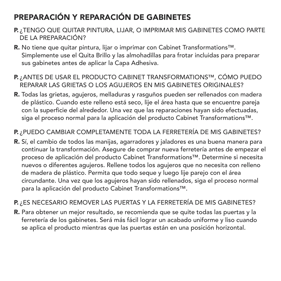## **PREPARACIÓN Y REPARACIÓN DE GABINETES**

- **P.** ¿TENGO QUE QUITAR PINTURA, LIJAR, O IMPRIMAR MIS GABINETES COMO PARTE DE LA PREPARACIÓN?
- **R.** No tiene que quitar pintura, lijar o imprimar con Cabinet Transformations™. Simplemente use el Quita Brillo y las almohadillas para frotar incluidas para preparar sus gabinetes antes de aplicar la Capa Adhesiva.
- **P.** ¿ANTES DE USAR EL PRODUCTO CABINET TRANSFORMATIONS™, CÓMO PUEDO REPARAR LAS GRIETAS O LOS AGUJEROS EN MIS GABINETES ORIGINALES?
- **R.** Todas las grietas, agujeros, melladuras y rasguños pueden ser rellenados con madera de plástico. Cuando este relleno está seco, lije el área hasta que se encuentre pareja con la superficie del alrededor. Una vez que las reparaciones hayan sido efectuadas, siga el proceso normal para la aplicación del producto Cabinet Transformations™.

#### **P.** ¿PUEDO CAMBIAR COMPLETAMENTE TODA LA FERRETERÍA DE MIS GABINETES?

**R.** Sí, el cambio de todos las manijas, agarradores y jaladores es una buena manera para continuar la transformación. Asegure de comprar nueva ferretería antes de empezar el proceso de aplicación del producto Cabinet Transformations™. Determine si necesita nuevos o diferentes agujeros. Rellene todos los agujeros que no necesita con relleno de madera de plástico. Permita que todo seque y luego lije parejo con el área circundante. Una vez que los agujeros hayan sido rellenados, siga el proceso normal para la aplicación del producto Cabinet Transformations™.

#### **P.** ¿ES NECESARIO REMOVER LAS PUERTAS Y LA FERRETERÍA DE MIS GABINETES?

**R.** Para obtener un mejor resultado, se recomienda que se quite todas las puertas y la ferretería de los gabinetes. Será más fácil lograr un acabado uniforme y liso cuando se aplica el producto mientras que las puertas están en una posición horizontal.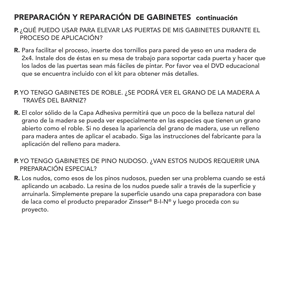#### **PREPARACIÓN Y REPARACIÓN DE GABINETES continuación**

- **P.** ¿QUÉ PUEDO USAR PARA ELEVAR LAS PUERTAS DE MIS GABINETES DURANTE EL PROCESO DE APLICACIÓN?
- **R.** Para facilitar el proceso, inserte dos tornillos para pared de yeso en una madera de 2x4. Instale dos de éstas en su mesa de trabajo para soportar cada puerta y hacer que los lados de las puertas sean más fáciles de pintar. Por favor vea el DVD educacional que se encuentra incluido con el kit para obtener más detalles.
- **P.** YO TENGO GABINETES DE ROBLE. ¿SE PODRÁ VER EL GRANO DE LA MADERA A TRAVÉS DEL BARNIZ?
- **R.** El color sólido de la Capa Adhesiva permitirá que un poco de la belleza natural del grano de la madera se pueda ver especialmente en las especies que tienen un grano abierto como el roble. Si no desea la apariencia del grano de madera, use un relleno para madera antes de aplicar el acabado. Siga las instrucciones del fabricante para la aplicación del relleno para madera.
- **P.** YO TENGO GABINETES DE PINO NUDOSO. ¿VAN ESTOS NUDOS REQUERIR UNA PREPARACIÓN ESPECIAL?
- **R.** Los nudos, como esos de los pinos nudosos, pueden ser una problema cuando se está aplicando un acabado. La resina de los nudos puede salir a través de la superficie y arruinarla. Simplemente prepare la superficie usando una capa preparadora con base de laca como el producto preparador Zinsser® B-I-N® y luego proceda con su proyecto.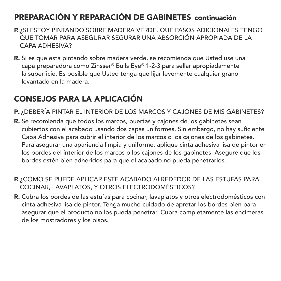#### **PREPARACIÓN Y REPARACIÓN DE GABINETES continuación**

- **P.** ¿SI ESTOY PINTANDO SOBRE MADERA VERDE, QUE PASOS ADICIONALES TENGO QUE TOMAR PARA ASEGURAR SEGURAR UNA ABSORCIÓN APROPIADA DE LA CAPA ADHESIVA?
- **R.** Si es que está pintando sobre madera verde, se recomienda que Usted use una capa preparadora como Zinsser® Bulls Eye® 1-2-3 para sellar apropiadamente la superficie. Es posible que Usted tenga que lijar levemente cualquier grano levantado en la madera.

### **CONSEJOS PARA LA APLICACIÓN**

- **P.** ¿DEBERÍA PINTAR EL INTERIOR DE LOS MARCOS Y CAJONES DE MIS GABINETES?
- **R.** Se recomienda que todos los marcos, puertas y cajones de los gabinetes sean cubiertos con el acabado usando dos capas uniformes. Sin embargo, no hay suficiente Capa Adhesiva para cubrir el interior de los marcos o los cajones de los gabinetes. Para asegurar una apariencia limpia y uniforme, aplique cinta adhesiva lisa de pintor en los bordes del interior de los marcos o los cajones de los gabinetes. Asegure que los bordes estén bien adheridos para que el acabado no pueda penetrarlos.
- **P.** ¿CÓMO SE PUEDE APLICAR ESTE ACABADO ALREDEDOR DE LAS ESTUFAS PARA COCINAR, LAVAPLATOS, Y OTROS ELECTRODOMÉSTICOS?
- **R.** Cubra los bordes de las estufas para cocinar, lavaplatos y otros electrodomésticos con cinta adhesiva lisa de pintor. Tenga mucho cuidado de apretar los bordes bien para asegurar que el producto no los pueda penetrar. Cubra completamente las encimeras de los mostradores y los pisos.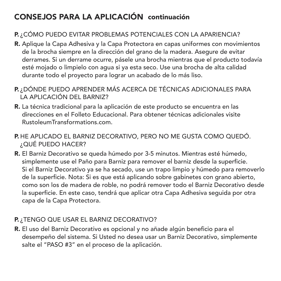### **CONSEJOS PARA LA APLICACIÓN continuación**

#### **P.** ¿CÓMO PUEDO EVITAR PROBLEMAS POTENCIALES CON LA APARIENCIA?

- **R.** Aplique la Capa Adhesiva y la Capa Protectora en capas uniformes con movimientos de la brocha siempre en la dirección del grano de la madera. Asegure de evitar derrames. Si un derrame ocurre, pásele una brocha mientras que el producto todavía esté mojado o limpielo con agua si ya esta seco. Use una brocha de alta calidad durante todo el proyecto para lograr un acabado de lo más liso.
- **P.** ¿DÓNDE PUEDO APRENDER MÁS ACERCA DE TÉCNICAS ADICIONALES PARA LA APLICACIÓN DEL BARNIZ?
- **R.** La técnica tradicional para la aplicación de este producto se encuentra en las direcciones en el Folleto Educacional. Para obtener técnicas adicionales visite RustoleumTransformations.com.
- **P.** HE APLICADO EL BARNIZ DECORATIVO, PERO NO ME GUSTA COMO QUEDÓ. ¿QUÉ PUEDO HACER?
- **R.** El Barniz Decorativo se queda húmedo por 3-5 minutos. Mientras esté húmedo, simplemente use el Paño para Barniz para remover el barniz desde la superficie. Si el Barniz Decorativo ya se ha secado, use un trapo limpio y húmedo para removerlo de la superficie. Nota: Si es que está aplicando sobre gabinetes con grano abierto, como son los de madera de roble, no podrá remover todo el Barniz Decorativo desde la superficie. En este caso, tendrá que aplicar otra Capa Adhesiva seguida por otra capa de la Capa Protectora.

#### **P.** ¿TENGO QUE USAR EL BARNIZ DECORATIVO?

**R.** El uso del Barniz Decorativo es opcional y no añade algún beneficio para el desempeño del sistema. Si Usted no desea usar un Barniz Decorativo, simplemente salte el "PASO #3" en el proceso de la aplicación.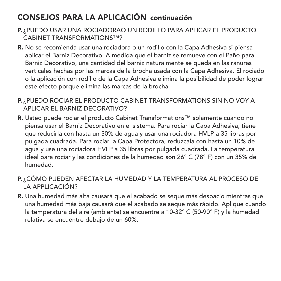## **CONSEJOS PARA LA APLICACIÓN continuación**

- **P.** ¿PUEDO USAR UNA ROCIADORAO UN RODILLO PARA APLICAR EL PRODUCTO CABINET TRANSFORMATIONS™?
- **R.** No se recomienda usar una rociadora o un rodillo con la Capa Adhesiva si piensa aplicar el Barniz Decorativo. A medida que el barniz se remueve con el Paño para Barniz Decorativo, una cantidad del barniz naturalmente se queda en las ranuras verticales hechas por las marcas de la brocha usada con la Capa Adhesiva. El rociado o la aplicación con rodillo de la Capa Adhesiva elimina la posibilidad de poder lograr este efecto porque elimina las marcas de la brocha.
- **P.** ¿PUEDO ROCIAR EL PRODUCTO CABINET TRANSFORMATIONS SIN NO VOY A APLICAR EL BARNIZ DECORATIVO?
- **R.** Usted puede rociar el producto Cabinet Transformations™ solamente cuando no piensa usar el Barniz Decorativo en el sistema. Para rociar la Capa Adhesiva, tiene que reducirla con hasta un 30% de agua y usar una rociadora HVLP a 35 libras por pulgada cuadrada. Para rociar la Capa Protectora, reduzcala con hasta un 10% de agua y use una rociadora HVLP a 35 libras por pulgada cuadrada. La temperatura ideal para rociar y las condiciones de la humedad son 26° C (78° F) con un 35% de humedad.
- **P.** ¿CÓMO PUEDEN AFECTAR LA HUMEDAD Y LA TEMPERATURA AL PROCESO DE LA APPLICACIÓN?
- **R.** Una humedad más alta causará que el acabado se seque más despacio mientras que una humedad más baja causará que el acabado se seque más rápido. Aplique cuando la temperatura del aire (ambiente) se encuentre a 10-32° C (50-90° F) y la humedad relativa se encuentre debajo de un 60%.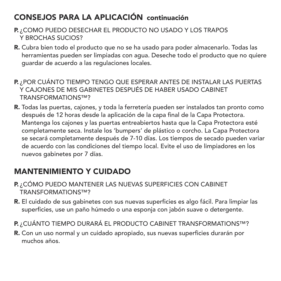#### **CONSEJOS PARA LA APLICACIÓN continuación**

- **P.** ¿COMO PUEDO DESECHAR EL PRODUCTO NO USADO Y LOS TRAPOS Y BROCHAS SUCIOS?
- **R.** Cubra bien todo el producto que no se ha usado para poder almacenarlo. Todas las herramientas pueden ser limpiadas con agua. Deseche todo el producto que no quiere guardar de acuerdo a las regulaciones locales.
- **P.** ¿POR CUÁNTO TIEMPO TENGO QUE ESPERAR ANTES DE INSTALAR LAS PUERTAS Y CAJONES DE MIS GABINETES DESPUÉS DE HABER USADO CABINET TRANSFORMATIONS™?
- **R.** Todas las puertas, cajones, y toda la ferretería pueden ser instalados tan pronto como después de 12 horas desde la aplicación de la capa final de la Capa Protectora. Mantenga los cajones y las puertas entreabiertos hasta que la Capa Protectora esté completamente seca. Instale los 'bumpers' de plástico o corcho. La Capa Protectora se secará completamente después de 7-10 días. Los tiempos de secado pueden variar de acuerdo con las condiciones del tiempo local. Evite el uso de limpiadores en los nuevos gabinetes por 7 días.

#### **MANTENIMIENTO Y CUIDADO**

- **P.** ¿CÓMO PUEDO MANTENER LAS NUEVAS SUPERFICIES CON CABINET TRANSFORMATIONS™?
- **R.** El cuidado de sus gabinetes con sus nuevas superficies es algo fácil. Para limpiar las superficies, use un paño húmedo o una esponja con jabón suave o detergente.
- **P.** ¿CUÁNTO TIEMPO DURARÁ EL PRODUCTO CABINET TRANSFORMATIONS™?
- **R.** Con un uso normal y un cuidado apropiado, sus nuevas superficies durarán por muchos años.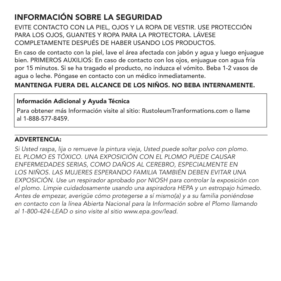#### **INFORMACIÓN SOBRE LA SEGURIDAD**

EVITE CONTACTO CON LA PIEL, OJOS Y LA ROPA DE VESTIR. USE PROTECCIÓN PARA LOS OJOS, GUANTES Y ROPA PARA LA PROTECTORA. LÁVESE COMPLETAMENTE DESPUÉS DE HABER USANDO LOS PRODUCTOS.

En caso de contacto con la piel, lave el área afectada con jabón y agua y luego enjuague bien. PRIMEROS AUXILIOS: En caso de contacto con los ojos, enjuague con agua fría por 15 minutos. Si se ha tragado el producto, no induzca el vómito. Beba 1-2 vasos de agua o leche. Póngase en contacto con un médico inmediatamente.

#### **MANTENGA FUERA DEL ALCANCE DE LOS NIÑOS. NO BEBA INTERNAMENTE.**

#### **Información Adicional y Ayuda Técnica**

Para obtener más Información visite al sitio: RustoleumTranformations.com o llame al 1-888-577-8459.

#### **ADVERTENCIA:**

*Si Usted raspa, lija o remueve la pintura vieja, Usted puede soltar polvo con plomo. EL PLOMO ES TÓXICO. UNA EXPOSICIÓN CON EL PLOMO PUEDE CAUSAR ENFERMEDADES SERIAS, COMO DAÑOS AL CEREBRO, ESPECIALMENTE EN LOS NIÑOS. LAS MUJERES ESPERANDO FAMILIA TAMBIÉN DEBEN EVITAR UNA EXPOSICIÓN. Use un respirador aprobado por NIOSH para controlar la exposición con el plomo. Limpie cuidadosamente usando una aspiradora HEPA y un estropajo húmedo. Antes de empezar, averigüe cómo protegerse a sí mismo(a) y a su familia poniéndose en contacto con la línea Abierta Nacional para la Información sobre el Plomo llamando al 1-800-424-LEAD o sino visite al sitio www.epa.gov/lead.*